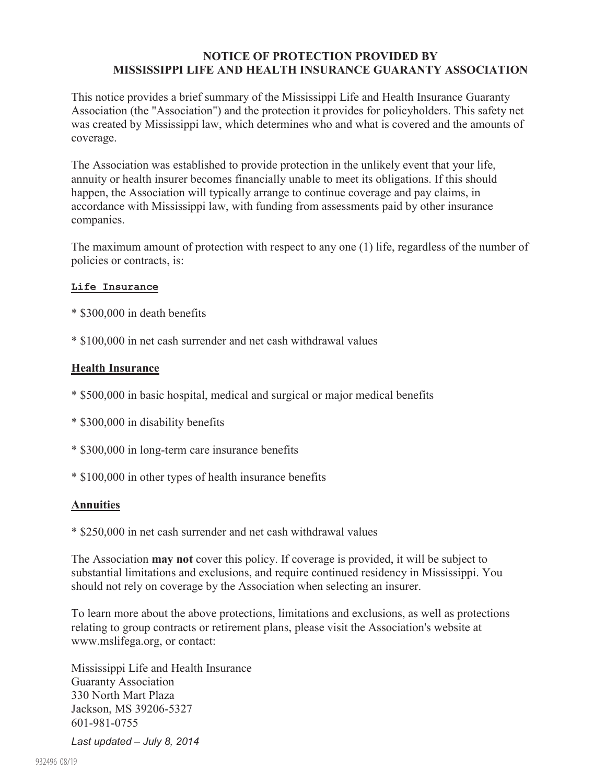## **NOTICE OF PROTECTION PROVIDED BY MISSISSIPPI LIFE AND HEALTH INSURANCE GUARANTY ASSOCIATION**

This notice provides a brief summary of the Mississippi Life and Health Insurance Guaranty Association (the "Association") and the protection it provides for policyholders. This safety net was created by Mississippi law, which determines who and what is covered and the amounts of coverage.

The Association was established to provide protection in the unlikely event that your life, annuity or health insurer becomes financially unable to meet its obligations. If this should happen, the Association will typically arrange to continue coverage and pay claims, in accordance with Mississippi law, with funding from assessments paid by other insurance companies.

The maximum amount of protection with respect to any one (1) life, regardless of the number of policies or contracts, is:

## **Life Insurance**

- \* \$300,000 in death benefits
- \* \$100,000 in net cash surrender and net cash withdrawal values

## **Health Insurance**

- \* \$500,000 in basic hospital, medical and surgical or major medical benefits
- \* \$300,000 in disability benefits
- \* \$300,000 in long-term care insurance benefits
- \* \$100,000 in other types of health insurance benefits

## **Annuities**

\* \$250,000 in net cash surrender and net cash withdrawal values

The Association **may not** cover this policy. If coverage is provided, it will be subject to substantial limitations and exclusions, and require continued residency in Mississippi. You should not rely on coverage by the Association when selecting an insurer.

To learn more about the above protections, limitations and exclusions, as well as protections relating to group contracts or retirement plans, please visit the Association's website at www.mslifega.org, or contact:

Mississippi Life and Health Insurance Guaranty Association 330 North Mart Plaza Jackson, MS 39206-5327 601-981-0755

*Last updated – July 8, 2014*